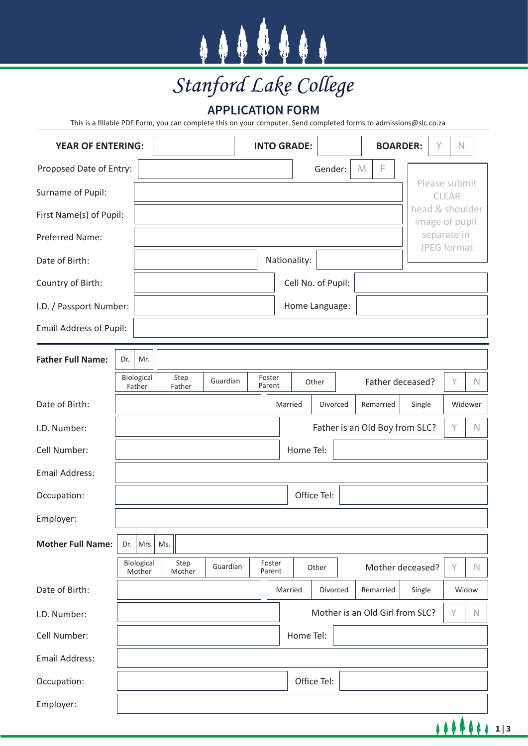

## **APPLICATION FORM**

This is a fillable PDF Form, you can complete this on your computer. Send completed forms to admissions@slc.co.za

| <b>YEAR OF ENTERING:</b>       |                                |                |          |                  | <b>INTO GRADE:</b> |                    |   | <b>BOARDER:</b> | Υ                                 | $\mathbb N$                |             |
|--------------------------------|--------------------------------|----------------|----------|------------------|--------------------|--------------------|---|-----------------|-----------------------------------|----------------------------|-------------|
| Proposed Date of Entry:        |                                |                |          |                  |                    | Gender:            | M | F               |                                   |                            |             |
| Surname of Pupil:              |                                |                |          |                  |                    |                    |   |                 | Please submit                     | <b>CLEAR</b>               |             |
| First Name(s) of Pupil:        |                                |                |          |                  |                    |                    |   |                 | head & shoulder<br>image of pupil |                            |             |
| <b>Preferred Name:</b>         |                                |                |          |                  |                    |                    |   |                 |                                   | separate in<br>JPEG format |             |
| Date of Birth:                 |                                |                |          |                  | Nationality:       |                    |   |                 |                                   |                            |             |
| Country of Birth:              |                                |                |          |                  |                    | Cell No. of Pupil: |   |                 |                                   |                            |             |
| I.D. / Passport Number:        |                                |                |          |                  |                    | Home Language:     |   |                 |                                   |                            |             |
| <b>Email Address of Pupil:</b> |                                |                |          |                  |                    |                    |   |                 |                                   |                            |             |
| <b>Father Full Name:</b>       | Dr.<br>Mr.                     |                |          |                  |                    |                    |   |                 |                                   |                            |             |
|                                | Biological<br>Father           | Step<br>Father | Guardian | Foster<br>Parent |                    | Other              |   |                 | Father deceased?                  | Y                          | $\mathbb N$ |
| Date of Birth:                 |                                |                |          |                  | Married            | Divorced           |   | Remarried       | Single                            |                            | Widower     |
| I.D. Number:                   | Father is an Old Boy from SLC? |                |          |                  |                    |                    |   | Y               | $\mathbb N$                       |                            |             |
| Cell Number:                   | Home Tel:                      |                |          |                  |                    |                    |   |                 |                                   |                            |             |
| <b>Email Address:</b>          |                                |                |          |                  |                    |                    |   |                 |                                   |                            |             |
| Occupation:                    |                                |                |          |                  |                    | Office Tel:        |   |                 |                                   |                            |             |
| Employer:                      |                                |                |          |                  |                    |                    |   |                 |                                   |                            |             |
| <b>Mother Full Name:</b>       | Mrs.<br>Dr.                    | Ms.            |          |                  |                    |                    |   |                 |                                   |                            |             |
|                                | Biological<br>Mother           | Step<br>Mother | Guardian | Foster<br>Parent |                    | Other              |   |                 | Mother deceased?                  | Y                          | $\mathbb N$ |
| Date of Birth:                 |                                |                |          |                  | Married            | Divorced           |   | Remarried       | Single                            |                            | Widow       |
| I.D. Number:                   |                                |                |          |                  |                    |                    |   |                 | Mother is an Old Girl from SLC?   | Y                          | $\mathbb N$ |
| Cell Number:                   |                                |                |          |                  | Home Tel:          |                    |   |                 |                                   |                            |             |
| <b>Email Address:</b>          |                                |                |          |                  |                    |                    |   |                 |                                   |                            |             |
| Occupation:                    |                                |                |          |                  |                    | Office Tel:        |   |                 |                                   |                            |             |
| Employer:                      |                                |                |          |                  |                    |                    |   |                 |                                   |                            |             |
|                                |                                |                |          |                  |                    |                    |   |                 |                                   |                            | 1144444 113 |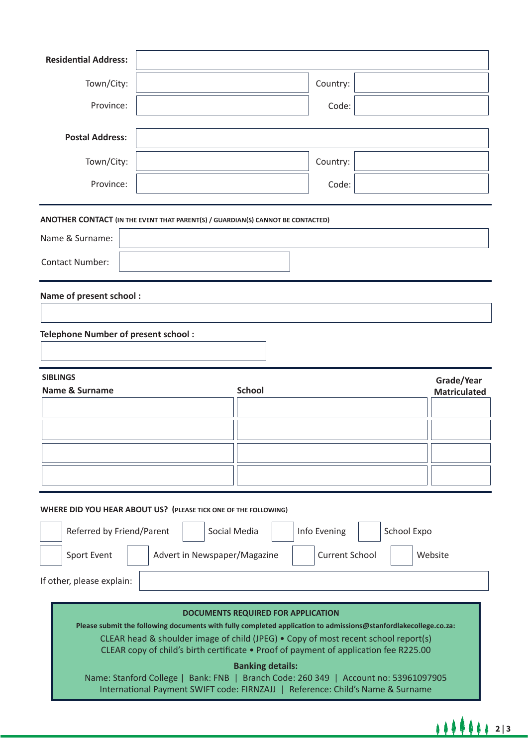| <b>Residential Address:</b>                                                     |                                                                                                                                                                                                                                                                                                                                                                                       |                                           |                         |                       |             |                     |
|---------------------------------------------------------------------------------|---------------------------------------------------------------------------------------------------------------------------------------------------------------------------------------------------------------------------------------------------------------------------------------------------------------------------------------------------------------------------------------|-------------------------------------------|-------------------------|-----------------------|-------------|---------------------|
| Town/City:                                                                      |                                                                                                                                                                                                                                                                                                                                                                                       |                                           |                         | Country:              |             |                     |
| Province:                                                                       |                                                                                                                                                                                                                                                                                                                                                                                       |                                           |                         | Code:                 |             |                     |
| <b>Postal Address:</b>                                                          |                                                                                                                                                                                                                                                                                                                                                                                       |                                           |                         |                       |             |                     |
| Town/City:                                                                      |                                                                                                                                                                                                                                                                                                                                                                                       |                                           |                         | Country:              |             |                     |
| Province:                                                                       |                                                                                                                                                                                                                                                                                                                                                                                       |                                           |                         |                       |             |                     |
|                                                                                 |                                                                                                                                                                                                                                                                                                                                                                                       |                                           |                         | Code:                 |             |                     |
| ANOTHER CONTACT (IN THE EVENT THAT PARENT(S) / GUARDIAN(S) CANNOT BE CONTACTED) |                                                                                                                                                                                                                                                                                                                                                                                       |                                           |                         |                       |             |                     |
| Name & Surname:                                                                 |                                                                                                                                                                                                                                                                                                                                                                                       |                                           |                         |                       |             |                     |
| <b>Contact Number:</b>                                                          |                                                                                                                                                                                                                                                                                                                                                                                       |                                           |                         |                       |             |                     |
| Name of present school:                                                         |                                                                                                                                                                                                                                                                                                                                                                                       |                                           |                         |                       |             |                     |
|                                                                                 |                                                                                                                                                                                                                                                                                                                                                                                       |                                           |                         |                       |             |                     |
| <b>Telephone Number of present school:</b>                                      |                                                                                                                                                                                                                                                                                                                                                                                       |                                           |                         |                       |             |                     |
|                                                                                 |                                                                                                                                                                                                                                                                                                                                                                                       |                                           |                         |                       |             |                     |
| <b>SIBLINGS</b>                                                                 |                                                                                                                                                                                                                                                                                                                                                                                       |                                           |                         |                       |             | Grade/Year          |
| Name & Surname                                                                  |                                                                                                                                                                                                                                                                                                                                                                                       |                                           | <b>School</b>           |                       |             | <b>Matriculated</b> |
|                                                                                 |                                                                                                                                                                                                                                                                                                                                                                                       |                                           |                         |                       |             |                     |
|                                                                                 |                                                                                                                                                                                                                                                                                                                                                                                       |                                           |                         |                       |             |                     |
|                                                                                 |                                                                                                                                                                                                                                                                                                                                                                                       |                                           |                         |                       |             |                     |
|                                                                                 |                                                                                                                                                                                                                                                                                                                                                                                       |                                           |                         |                       |             |                     |
| WHERE DID YOU HEAR ABOUT US? (PLEASE TICK ONE OF THE FOLLOWING)                 |                                                                                                                                                                                                                                                                                                                                                                                       |                                           |                         |                       |             |                     |
| Referred by Friend/Parent                                                       |                                                                                                                                                                                                                                                                                                                                                                                       | Social Media                              |                         | Info Evening          | School Expo |                     |
| Sport Event                                                                     |                                                                                                                                                                                                                                                                                                                                                                                       | Advert in Newspaper/Magazine              |                         | <b>Current School</b> |             | Website             |
| If other, please explain:                                                       |                                                                                                                                                                                                                                                                                                                                                                                       |                                           |                         |                       |             |                     |
|                                                                                 | Please submit the following documents with fully completed application to admissions@stanfordlakecollege.co.za:<br>CLEAR head & shoulder image of child (JPEG) • Copy of most recent school report(s)<br>CLEAR copy of child's birth certificate . Proof of payment of application fee R225.00<br>Name: Stanford College   Bank: FNB   Branch Code: 260 349   Account no: 53961097905 | <b>DOCUMENTS REQUIRED FOR APPLICATION</b> | <b>Banking details:</b> |                       |             |                     |